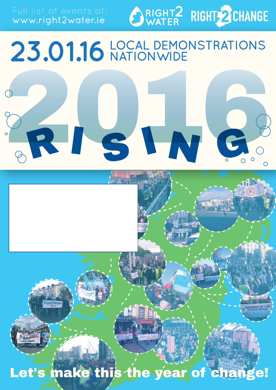www.right2water.ie



## 23.01.16 LOCAL DEMONSTRATIONS

# RISIN

Let's make this the year of change!